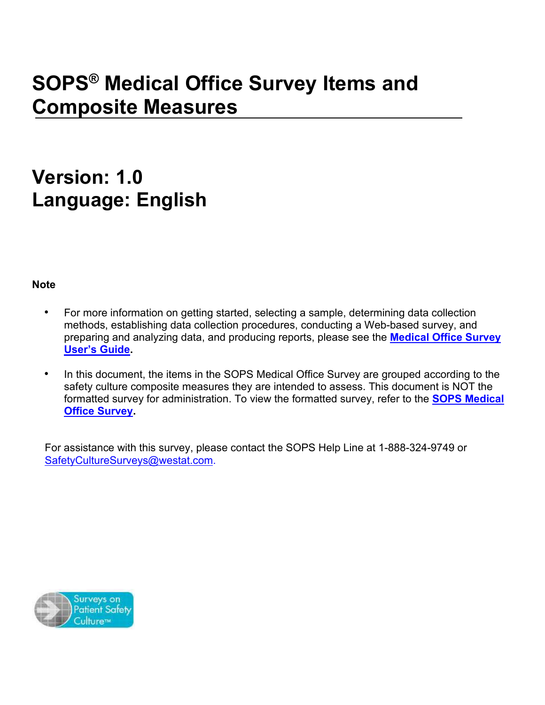# **SOPS® Medical Office Survey Items and Composite Measures**

## **Version: 1.0 Language: English**

**Note**

- For more information on getting started, selecting a sample, determining data collection methods, establishing data collection procedures, conducting a Web-based survey, and preparing and analyzing data, and producing reports, please see the **[Medical Office](https://www.ahrq.gov/sites/default/files/wysiwyg/professionals/quality-patient-safety/patientsafetyculture/medical-office/userguide/mosurveyguide.pdf) Survey [User's Guide.](https://www.ahrq.gov/sites/default/files/wysiwyg/professionals/quality-patient-safety/patientsafetyculture/medical-office/userguide/mosurveyguide.pdf)**
- In this document, the items in the SOPS Medical Office Survey are grouped according to the safety culture composite measures they are intended to assess. This document is NOT the formatted survey for administration. To view the formatted survey, refer to the **[SOPS Medical](https://www.ahrq.gov/sites/default/files/wysiwyg/professionals/quality-patient-safety/patientsafetyculture/medical-office/resources/mosurvey-form.pdf)  [Office Survey.](https://www.ahrq.gov/sites/default/files/wysiwyg/professionals/quality-patient-safety/patientsafetyculture/medical-office/resources/mosurvey-form.pdf)**

For assistance with this survey, please contact the SOPS Help Line at 1-888-324-9749 or [SafetyCultureSurveys@westat.com.](mailto:SafetyCultureSurveys@westat.com)

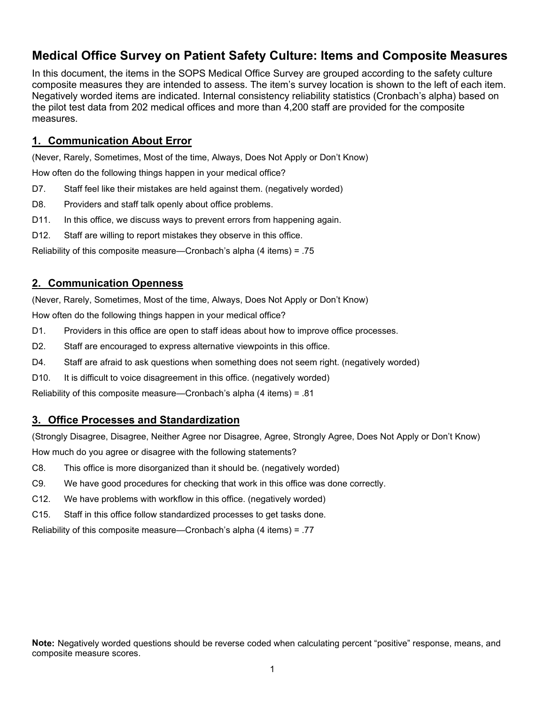## **Medical Office Survey on Patient Safety Culture: Items and Composite Measures**

In this document, the items in the SOPS Medical Office Survey are grouped according to the safety culture composite measures they are intended to assess. The item's survey location is shown to the left of each item. Negatively worded items are indicated. Internal consistency reliability statistics (Cronbach's alpha) based on the pilot test data from 202 medical offices and more than 4,200 staff are provided for the composite measures.

#### **1. Communication About Error**

(Never, Rarely, Sometimes, Most of the time, Always, Does Not Apply or Don't Know)

How often do the following things happen in your medical office?

- D7. Staff feel like their mistakes are held against them. (negatively worded)
- D8. Providers and staff talk openly about office problems.
- D11. In this office, we discuss ways to prevent errors from happening again.
- D12. Staff are willing to report mistakes they observe in this office.

Reliability of this composite measure—Cronbach's alpha (4 items) = .75

#### **2. Communication Openness**

(Never, Rarely, Sometimes, Most of the time, Always, Does Not Apply or Don't Know)

How often do the following things happen in your medical office?

- D1. Providers in this office are open to staff ideas about how to improve office processes.
- D2. Staff are encouraged to express alternative viewpoints in this office.
- D4. Staff are afraid to ask questions when something does not seem right. (negatively worded)
- D10. It is difficult to voice disagreement in this office. (negatively worded)

Reliability of this composite measure—Cronbach's alpha (4 items) = .81

#### **3. Office Processes and Standardization**

(Strongly Disagree, Disagree, Neither Agree nor Disagree, Agree, Strongly Agree, Does Not Apply or Don't Know) How much do you agree or disagree with the following statements?

- C8. This office is more disorganized than it should be. (negatively worded)
- C9. We have good procedures for checking that work in this office was done correctly.
- C12. We have problems with workflow in this office. (negatively worded)
- C15. Staff in this office follow standardized processes to get tasks done.

Reliability of this composite measure—Cronbach's alpha (4 items) = .77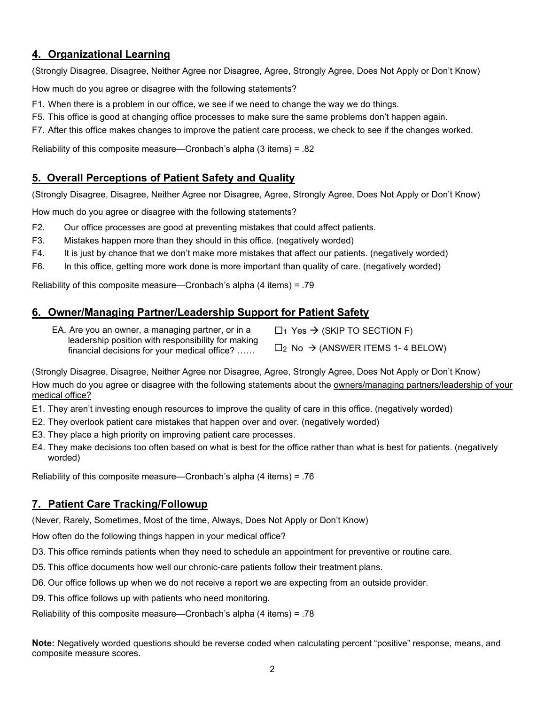## **4. Organizational Learning**

(Strongly Disagree, Disagree, Neither Agree nor Disagree, Agree, Strongly Agree, Does Not Apply or Don't Know)

How much do you agree or disagree with the following statements?

- F1. When there is a problem in our office, we see if we need to change the way we do things.
- F5. This office is good at changing office processes to make sure the same problems don't happen again.
- F7. After this office makes changes to improve the patient care process, we check to see if the changes worked.

Reliability of this composite measure—Cronbach's alpha (3 items) = .82

## **5. Overall Perceptions of Patient Safety and Quality**

(Strongly Disagree, Disagree, Neither Agree nor Disagree, Agree, Strongly Agree, Does Not Apply or Don't Know)

How much do you agree or disagree with the following statements?

- F2. Our office processes are good at preventing mistakes that could affect patients.
- F3. Mistakes happen more than they should in this office. (negatively worded)
- F4. It is just by chance that we don't make more mistakes that affect our patients. (negatively worded)
- F6. In this office, getting more work done is more important than quality of care. (negatively worded)

Reliability of this composite measure—Cronbach's alpha (4 items) = .79

## **6. Owner/Managing Partner/Leadership Support for Patient Safety**

| EA. Are you an owner, a managing partner, or in a  | $\Box$ Yes $\rightarrow$ (SKIP TO SECTION F)                     |
|----------------------------------------------------|------------------------------------------------------------------|
| leadership position with responsibility for making |                                                                  |
| financial decisions for your medical office?       | $\square$ <sub>2</sub> No $\rightarrow$ (ANSWER ITEMS 1-4 BELOW) |

(Strongly Disagree, Disagree, Neither Agree nor Disagree, Agree, Strongly Agree, Does Not Apply or Don't Know) How much do you agree or disagree with the following statements about the owners/managing partners/leadership of your medical office?

- E1. They aren't investing enough resources to improve the quality of care in this office. (negatively worded)
- E2. They overlook patient care mistakes that happen over and over. (negatively worded)
- E3. They place a high priority on improving patient care processes.
- E4. They make decisions too often based on what is best for the office rather than what is best for patients. (negatively worded)

Reliability of this composite measure—Cronbach's alpha (4 items) = .76

## **7. Patient Care Tracking/Followup**

(Never, Rarely, Sometimes, Most of the time, Always, Does Not Apply or Don't Know)

How often do the following things happen in your medical office?

- D3. This office reminds patients when they need to schedule an appointment for preventive or routine care.
- D5. This office documents how well our chronic-care patients follow their treatment plans.
- D6. Our office follows up when we do not receive a report we are expecting from an outside provider.

D9. This office follows up with patients who need monitoring.

Reliability of this composite measure—Cronbach's alpha (4 items) = .78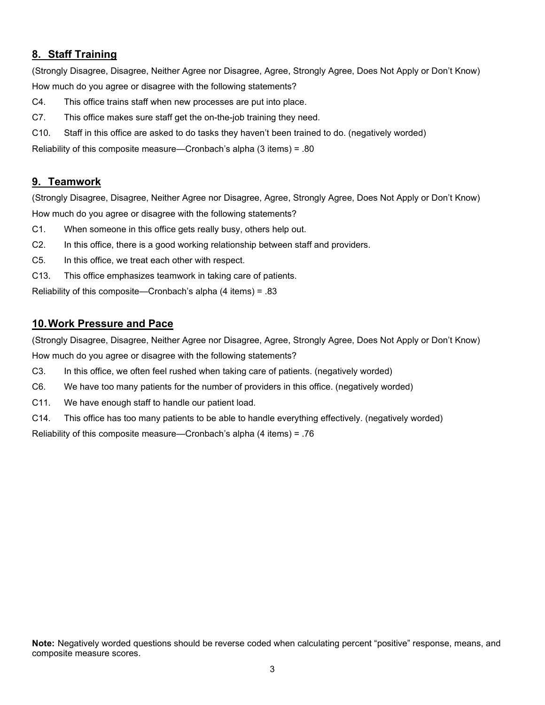## **8. Staff Training**

(Strongly Disagree, Disagree, Neither Agree nor Disagree, Agree, Strongly Agree, Does Not Apply or Don't Know) How much do you agree or disagree with the following statements?

- C4. This office trains staff when new processes are put into place.
- C7. This office makes sure staff get the on-the-job training they need.
- C10. Staff in this office are asked to do tasks they haven't been trained to do. (negatively worded)

Reliability of this composite measure—Cronbach's alpha (3 items) = .80

## **9. Teamwork**

(Strongly Disagree, Disagree, Neither Agree nor Disagree, Agree, Strongly Agree, Does Not Apply or Don't Know) How much do you agree or disagree with the following statements?

- C1. When someone in this office gets really busy, others help out.
- C2. In this office, there is a good working relationship between staff and providers.
- C5. In this office, we treat each other with respect.
- C13. This office emphasizes teamwork in taking care of patients.

Reliability of this composite—Cronbach's alpha (4 items) = .83

#### **10. Work Pressure and Pace**

(Strongly Disagree, Disagree, Neither Agree nor Disagree, Agree, Strongly Agree, Does Not Apply or Don't Know) How much do you agree or disagree with the following statements?

- C3. In this office, we often feel rushed when taking care of patients. (negatively worded)
- C6. We have too many patients for the number of providers in this office. (negatively worded)
- C11. We have enough staff to handle our patient load.
- C14. This office has too many patients to be able to handle everything effectively. (negatively worded)

Reliability of this composite measure—Cronbach's alpha (4 items) = .76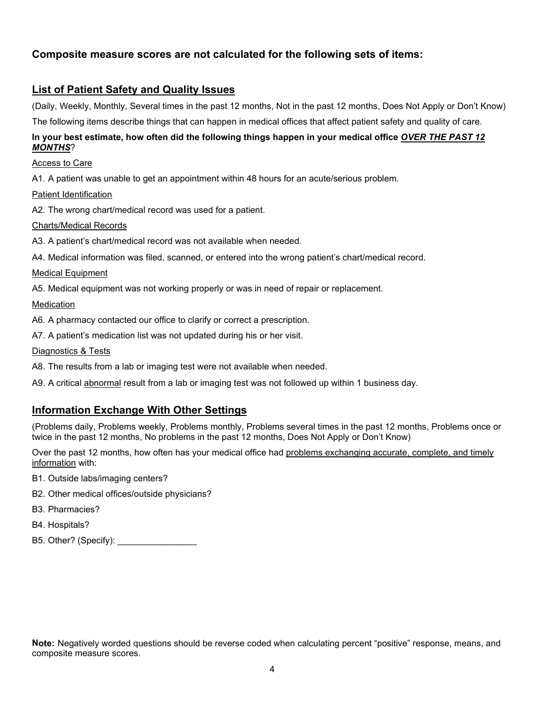## **Composite measure scores are not calculated for the following sets of items:**

## **List of Patient Safety and Quality Issues**

(Daily, Weekly, Monthly, Several times in the past 12 months, Not in the past 12 months, Does Not Apply or Don't Know) The following items describe things that can happen in medical offices that affect patient safety and quality of care.

#### **In your best estimate, how often did the following things happen in your medical office** *OVER THE PAST 12 MONTHS*?

#### Access to Care

A1. A patient was unable to get an appointment within 48 hours for an acute/serious problem.

#### Patient Identification

A2. The wrong chart/medical record was used for a patient.

#### Charts/Medical Records

A3. A patient's chart/medical record was not available when needed.

A4. Medical information was filed, scanned, or entered into the wrong patient's chart/medical record.

#### Medical Equipment

A5. Medical equipment was not working properly or was in need of repair or replacement.

#### Medication

A6. A pharmacy contacted our office to clarify or correct a prescription.

A7. A patient's medication list was not updated during his or her visit.

#### Diagnostics & Tests

A8. The results from a lab or imaging test were not available when needed.

A9. A critical abnormal result from a lab or imaging test was not followed up within 1 business day.

## **Information Exchange With Other Settings**

(Problems daily, Problems weekly, Problems monthly, Problems several times in the past 12 months, Problems once or twice in the past 12 months, No problems in the past 12 months, Does Not Apply or Don't Know)

Over the past 12 months, how often has your medical office had problems exchanging accurate, complete, and timely information with:

- B1. Outside labs/imaging centers?
- B2. Other medical offices/outside physicians?
- B3. Pharmacies?
- B4. Hospitals?
- B5. Other? (Specify):